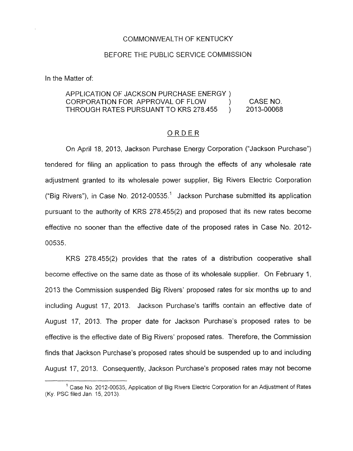### COMMONWEALTH OF KENTUCKY

### BEFORE THE PUBLIC SERVICE COMMISSION

In the Matter of:

# APPLICATION OF JACKSON PURCHASE ENERGY ) CORPORATION FOR APPROVAL OF FLOW (CASE NO. THROUGH RATES PURSUANT TO KRS 278.455 ) 201 3-00068 \L OF FLOV<br>TO KRS 278<br><u>O R D E R</u>

On April 18, 2013, Jackson Purchase Energy Corporation ("Jackson Purchase") tendered for filing an application to pass through the effects of any wholesale rate adjustment granted to its wholesale power supplier, Big Rivers Electric Corporation ("Big Rivers"), in Case No. 2012-00535.<sup>1</sup> Jackson Purchase submitted its application pursuant to the authority of KRS 278.455(2) and proposed that its new rates become effective no sooner than the effective date of the proposed rates in Case No. 2012- 00535.

KRS 278.455(2) provides that the rates of a distribution cooperative shall become effective on the same date as those of its wholesale supplier. On February 1, 2013 the Commission suspended Big Rivers' proposed rates for six months up to and including August 17, 2013. Jackson Purchase's tariffs contain an effective date of August 17, 2013. The proper date for Jackson Purchase's proposed rates to be effective is the effective date of Big Rivers' proposed rates. Therefore, the Commission finds that Jackson Purchase's proposed rates should be suspended up to and including August 17, 2013. Consequently, Jackson Purchase's proposed rates may not become

 $1$  Case No. 2012-00535, Application of Big Rivers Electric Corporation for an Adjustment of Rates (Ky. PSC filed Jan 15, 2013)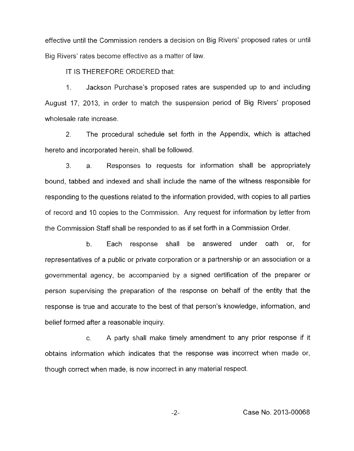effective until the Commission renders a decision on Big Rivers' proposed rates or until Big Rivers' rates become effective as a matter of law.

IT IS THEREFORE ORDERED that:

1. Jackson Purchase's proposed rates are suspended up to and including August 17, 2013, in order to match the suspension period of Big Rivers' proposed wholesale rate increase.

2. The procedural schedule set forth in the Appendix, which is attached hereto and incorporated herein, shall be followed.

3. a. Responses to requests for information shall be appropriately bound, tabbed and indexed and shall include the name of the witness responsible for responding to the questions related to the information provided, with copies to all parties of record and 10 copies to the Commission. Any request for information by letter from the Commission Staff shall be responded to as if set forth in a Commission Order.

b. Each response shall be answered under oath or, for representatives of a public or private corporation or a partnership or an association or a governmental agency, be accompanied by a signed certification of the preparer or person supervising the preparation of the response on behalf of the entity that the response is true and accurate to the best of that person's knowledge, information, and belief formed after a reasonable inquiry.

c. A party shall make timely amendment to any prior response if it obtains information which indicates that the response was incorrect when made or, though correct when made, is now incorrect in any material respect.

-2- Case **No.** 2013-00068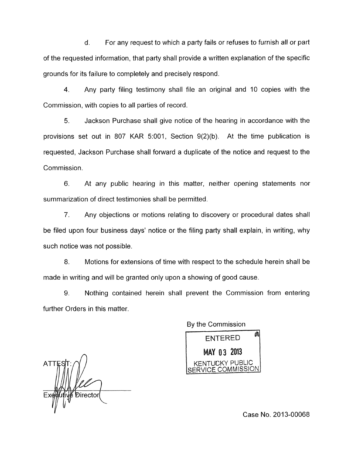d. For any request to which a party fails or refuses to furnish all or part of the requested information, that party shall provide a written explanation of the specific grounds for its failure to completely and precisely respond.

**4.** Any party filing testimony shall file an original and 10 copies with the Commission, with copies to all parties of record.

*5.* Jackson Purchase shall give notice of the hearing in accordance with the provisions set out in 807 KAR 5:001, Section 9(2)(b). At the time publication is requested, Jackson Purchase shall forward a duplicate of the notice and request to the Commission.

6. At any public hearing in this matter, neither opening statements nor summarization of direct testimonies shall be permitted.

7. Any objections or motions relating to discovery or procedural dates shall be filed upon four business days' notice or the filing party shall explain, in writing, why such notice was not possible.

8. Motions for extensions of time with respect to the schedule herein shall be made in writing and will be granted only upon a showing of good cause.

9. Nothing contained herein shall prevent the Commission from entering further Orders in this matter

By the Commission



**ATTE** 

Case No. 2013-00068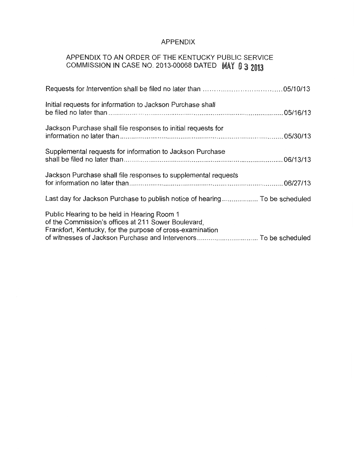## APPENDIX

# APPENDIX TO AN ORDER OF THE KENTUCKY PUBLIC SERVICE COMMISSION IN CASE NO. 2013-00068 DATED MAY 0 3 2013

| Initial requests for information to Jackson Purchase shall                                                                                                      |  |
|-----------------------------------------------------------------------------------------------------------------------------------------------------------------|--|
| Jackson Purchase shall file responses to initial requests for                                                                                                   |  |
| Supplemental requests for information to Jackson Purchase                                                                                                       |  |
| Jackson Purchase shall file responses to supplemental requests                                                                                                  |  |
| Last day for Jackson Purchase to publish notice of hearing To be scheduled                                                                                      |  |
| Public Hearing to be held in Hearing Room 1<br>of the Commission's offices at 211 Sower Boulevard,<br>Frankfort, Kentucky, for the purpose of cross-examination |  |